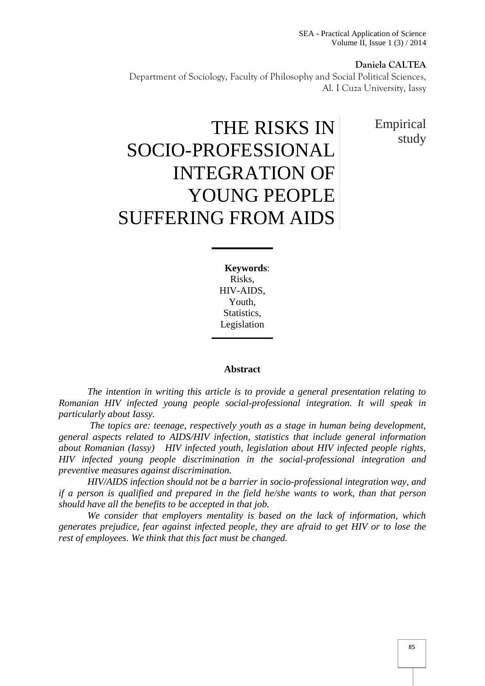SEA - Practical Application of Science Volume II, Issue 1 (3) / 2014

#### **Daniela CALTEA**

Department of Sociology, Faculty of Philosophy and Social Political Sciences, Al. I Cuza University, Iassy

> Empirical study

# THE RISKS IN SOCIO-PROFESSIONAL INTEGRATION OF YOUNG PEOPLE SUFFERING FROM AIDS

**Keywords**: Risks, HIV-AIDS, Youth, Statistics, Legislation

#### **Abstract**

*The intention in writing this article is to provide a general presentation relating to Romanian HIV infected young people social-professional integration. It will speak in particularly about Iassy.*

*The topics are: teenage, respectively youth as a stage in human being development, general aspects related to AIDS/HIV infection, statistics that include general information about Romanian (Iassy) HIV infected youth, legislation about HIV infected people rights, HIV infected young people discrimination in the social-professional integration and preventive measures against discrimination.*

*HIV/AIDS infection should not be a barrier in socio-professional integration way, and if a person is qualified and prepared in the field he/she wants to work, than that person should have all the benefits to be accepted in that job.*

*We consider that employers mentality is based on the lack of information, which generates prejudice, fear against infected people, they are afraid to get HIV or to lose the rest of employees. We think that this fact must be changed.*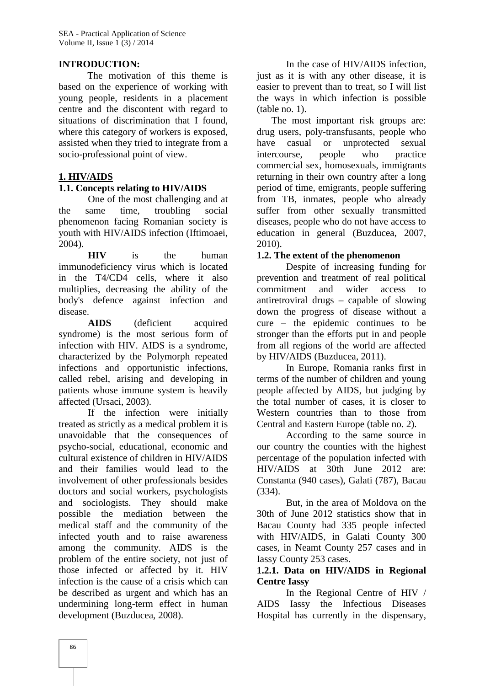#### **INTRODUCTION:**

The motivation of this theme is based on the experience of working with young people, residents in a placement centre and the discontent with regard to situations of discrimination that I found, where this category of workers is exposed, assisted when they tried to integrate from a socio-professional point of view.

## **1. HIV/AIDS**

#### **1.1. Concepts relating to HIV/AIDS**

One of the most challenging and at the same time, troubling social phenomenon facing Romanian society is youth with HIV/AIDS infection (Iftimoaei, 2004).

**HIV** is the human immunodeficiency virus which is located in the T4/CD4 cells, where it also multiplies, decreasing the ability of the body's defence against infection and disease.

**AIDS** (deficient acquired syndrome) is the most serious form of infection with HIV. AIDS is a syndrome, characterized by the Polymorph repeated infections and opportunistic infections, called rebel, arising and developing in patients whose immune system is heavily affected (Ursaci, 2003).

If the infection were initially treated as strictly as a medical problem it is unavoidable that the consequences of psycho-social, educational, economic and cultural existence of children in HIV/AIDS and their families would lead to the involvement of other professionals besides doctors and social workers, psychologists and sociologists. They should make possible the mediation between the medical staff and the community of the infected youth and to raise awareness among the community. AIDS is the problem of the entire society, not just of those infected or affected by it. HIV infection is the cause of a crisis which can be described as urgent and which has an undermining long-term effect in human development (Buzducea, 2008).

In the case of HIV/AIDS infection, just as it is with any other disease, it is easier to prevent than to treat, so I will list the ways in which infection is possible (table no. 1).

The most important risk groups are: drug users, poly-transfusants, people who casual or unprotected sexual intercourse, people who practice commercial sex, homosexuals, immigrants returning in their own country after a long period of time, emigrants, people suffering from TB, inmates, people who already suffer from other sexually transmitted diseases, people who do not have access to education in general (Buzducea, 2007, 2010).

#### **1.2. The extent of the phenomenon**

Despite of increasing funding for prevention and treatment of real political commitment and wider access to antiretroviral drugs – capable of slowing down the progress of disease without a cure – the epidemic continues to be stronger than the efforts put in and people from all regions of the world are affected by HIV/AIDS (Buzducea, 2011).

In Europe, Romania ranks first in terms of the number of children and young people affected by AIDS, but judging by the total number of cases, it is closer to Western countries than to those from Central and Eastern Europe (table no. 2).

According to the same source in our country the counties with the highest percentage of the population infected with HIV/AIDS at 30th June 2012 are: Constanta (940 cases), Galati (787), Bacau (334).

But, in the area of Moldova on the 30th of June 2012 statistics show that in Bacau County had 335 people infected with HIV/AIDS, in Galati County 300 cases, in Neamt County 257 cases and in Iassy County 253 cases.

#### **1.2.1. Data on HIV/AIDS in Regional Centre Iassy**

In the Regional Centre of HIV / AIDS Iassy the Infectious Diseases Hospital has currently in the dispensary,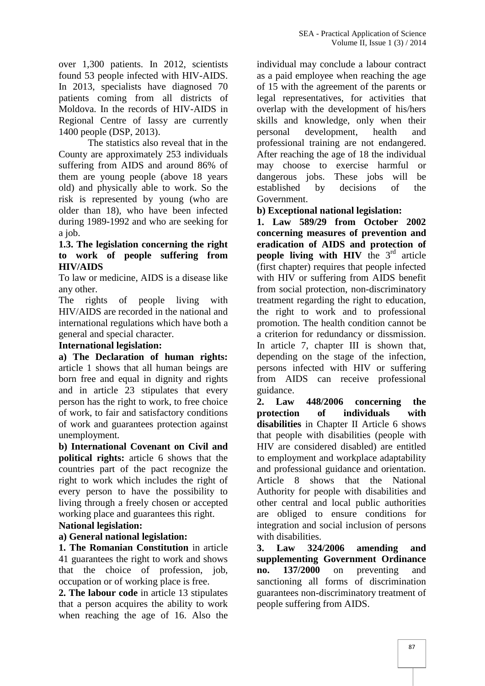over 1,300 patients. In 2012, scientists found 53 people infected with HIV-AIDS. In 2013, specialists have diagnosed 70 patients coming from all districts of Moldova. In the records of HIV-AIDS in Regional Centre of Iassy are currently 1400 people (DSP, 2013).

The statistics also reveal that in the County are approximately 253 individuals suffering from AIDS and around 86% of them are young people (above 18 years old) and physically able to work. So the risk is represented by young (who are older than 18), who have been infected during 1989-1992 and who are seeking for a job.

## **1.3. The legislation concerning the right to work of people suffering from HIV/AIDS**

To law or medicine, AIDS is a disease like any other.

The rights of people living with HIV/AIDS are recorded in the national and international regulations which have both a general and special character.

#### **International legislation:**

**a) The Declaration of human rights:** article 1 shows that all human beings are born free and equal in dignity and rights and in article 23 stipulates that every person has the right to work, to free choice 2. of work, to fair and satisfactory conditions of work and guarantees protection against unemployment.

**b) International Covenant on Civil and political rights:** article 6 shows that the countries part of the pact recognize the right to work which includes the right of every person to have the possibility to living through a freely chosen or accepted working place and guarantees this right.

## **National legislation:**

## **a) General national legislation:**

**1. The Romanian Constitution** in article 41 guarantees the right to work and shows that the choice of profession, job, occupation or of working place is free.

**2. The labour code** in article 13 stipulates that a person acquires the ability to work when reaching the age of 16. Also the

individual may conclude a labour contract as a paid employee when reaching the age of 15 with the agreement of the parents or legal representatives, for activities that overlap with the development of his/hers skills and knowledge, only when their personal development, health and professional training are not endangered. After reaching the age of 18 the individual may choose to exercise harmful or dangerous jobs. These jobs will be established by decisions of the Government.

**b) Exceptional national legislation:**

**1. Law 589/29 from October 2002 concerning measures of prevention and eradication of AIDS and protection of people living with HIV** the 3<sup>rd</sup> article (first chapter) requires that people infected with HIV or suffering from AIDS benefit from social protection, non-discriminatory treatment regarding the right to education, the right to work and to professional promotion. The health condition cannot be a criterion for redundancy or dissmission. In article 7, chapter III is shown that, depending on the stage of the infection, persons infected with HIV or suffering from AIDS can receive professional guidance.

**2. Law 448/2006 concerning the protection of individuals with disabilities** in Chapter II Article 6 shows that people with disabilities (people with HIV are considered disabled) are entitled to employment and workplace adaptability and professional guidance and orientation. Article 8 shows that the National Authority for people with disabilities and other central and local public authorities are obliged to ensure conditions for integration and social inclusion of persons with disabilities.

**3. Law 324/2006 amending and supplementing Government Ordinance no. 137/2000** on preventing and sanctioning all forms of discrimination guarantees non-discriminatory treatment of people suffering from AIDS.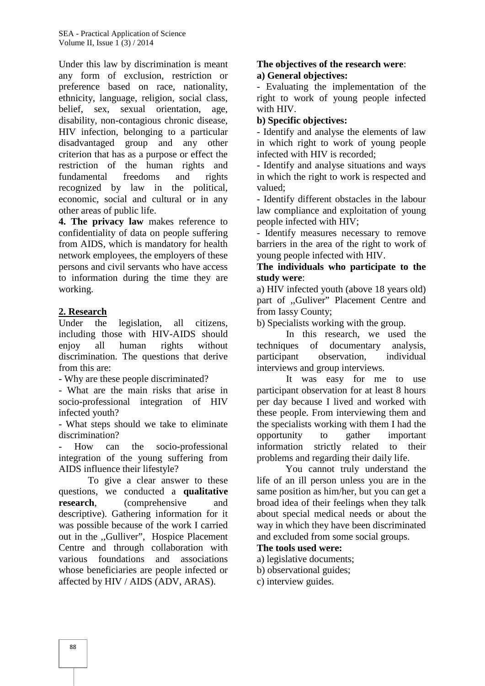SEA - Practical Application of Science Volume II, Issue 1 (3) / 2014

Under this law by discrimination is meant any form of exclusion, restriction or preference based on race, nationality, ethnicity, language, religion, social class, belief, sex, sexual orientation, age, disability, non-contagious chronic disease, HIV infection, belonging to a particular disadvantaged group and any other criterion that has as a purpose or effect the restriction of the human rights and fundamental freedoms and rights recognized by law in the political, economic, social and cultural or in any other areas of public life.

**4. The privacy law** makes reference to confidentiality of data on people suffering from AIDS, which is mandatory for health network employees, the employers of these persons and civil servants who have access to information during the time they are working.

#### **2. Research**

Under the legislation, all citizens, including those with HIV-AIDS should enjoy all human rights without discrimination. The questions that derive participant from this are:

- Why are these people discriminated?

- What are the main risks that arise in socio-professional integration of HIV infected youth?

- What steps should we take to eliminate discrimination?

How can the socio-professional integration of the young suffering from AIDS influence their lifestyle?

To give a clear answer to these questions, we conducted a **qualitative research,** (comprehensive and descriptive). Gathering information for it was possible because of the work I carried out in the ,,Gulliver", Hospice Placement Centre and through collaboration with various foundations and associations whose beneficiaries are people infected or affected by HIV / AIDS (ADV, ARAS).

#### **The objectives of the research were**: **a) General objectives:**

- Evaluating the implementation of the right to work of young people infected with HIV.

#### **b) Specific objectives:**

- Identify and analyse the elements of law in which right to work of young people infected with HIV is recorded;

- Identify and analyse situations and ways in which the right to work is respected and valued;

- Identify different obstacles in the labour law compliance and exploitation of young people infected with HIV;

- Identify measures necessary to remove barriers in the area of the right to work of young people infected with HIV.

#### **The individuals who participate to the study were**:

a) HIV infected youth (above 18 years old) part of ,,Guliver" Placement Centre and from Iassy County;

b) Specialists working with the group.

In this research, we used the techniques of documentary analysis, observation, individual interviews and group interviews.

It was easy for me to use participant observation for at least 8 hours per day because I lived and worked with these people. From interviewing them and the specialists working with them I had the opportunity to gather important information strictly related to their problems and regarding their daily life.

You cannot truly understand the life of an ill person unless you are in the same position as him/her, but you can get a broad idea of their feelings when they talk about special medical needs or about the way in which they have been discriminated and excluded from some social groups.

#### **The tools used were:**

- a) legislative documents;
- b) observational guides;
- c) interview guides.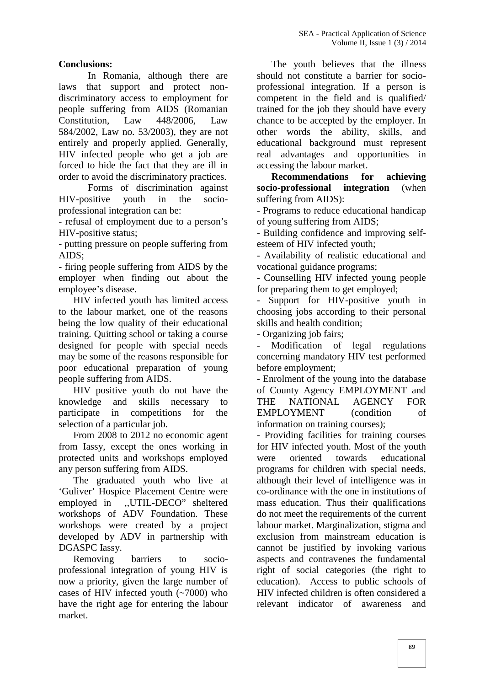#### **Conclusions:**

In Romania, although there are laws that support and protect non discriminatory access to employment for people suffering from AIDS (Romanian Constitution, Law 448/2006, Law 584/2002, Law no. 53/2003), they are not entirely and properly applied. Generally, HIV infected people who get a job are forced to hide the fact that they are ill in order to avoid the discriminatory practices.

Forms of discrimination against HIV-positive youth in the socio professional integration can be:

- refusal of employment due to a person's HIV-positive status;

- putting pressure on people suffering from AIDS;

- firing people suffering from AIDS by the employer when finding out about the employee's disease.

HIV infected youth has limited access to the labour market, one of the reasons being the low quality of their educational training. Quitting school or taking a course designed for people with special needs may be some of the reasons responsible for poor educational preparation of young people suffering from AIDS.

HIV positive youth do not have the knowledge and skills necessary to participate in competitions for the selection of a particular job.

From 2008 to 2012 no economic agent from Iassy, except the ones working in protected units and workshops employed any person suffering from AIDS.

The graduated youth who live at 'Guliver' Hospice Placement Centre were employed in ,,UTIL-DECO" sheltered workshops of ADV Foundation. These workshops were created by a project developed by ADV in partnership with DGASPC Iassy.

Removing barriers to socio professional integration of young HIV is now a priority, given the large number of cases of HIV infected youth (~7000) who have the right age for entering the labour market.

The youth believes that the illness should not constitute a barrier for socio professional integration. If a person is competent in the field and is qualified/ trained for the job they should have every chance to be accepted by the employer. In other words the ability, skills, and educational background must represent real advantages and opportunities in accessing the labour market.

**Recommendations for achieving socio-professional integration** (when suffering from AIDS):

- Programs to reduce educational handicap of young suffering from AIDS;

- Building confidence and improving self esteem of HIV infected youth;

- Availability of realistic educational and vocational guidance programs;

- Counselling HIV infected young people for preparing them to get employed;

Support for HIV-positive youth in choosing jobs according to their personal skills and health condition;

- Organizing job fairs;

- Modification of legal regulations concerning mandatory HIV test performed before employment;

- Enrolment of the young into the database of County Agency EMPLOYMENT and NATIONAL AGENCY FOR EMPLOYMENT (condition of information on training courses);

- Providing facilities for training courses for HIV infected youth. Most of the youth oriented towards educational programs for children with special needs, although their level of intelligence was in co-ordinance with the one in institutions of mass education. Thus their qualifications do not meet the requirements of the current labour market. Marginalization, stigma and exclusion from mainstream education is cannot be justified by invoking various aspects and contravenes the fundamental right of social categories (the right to education). Access to public schools of HIV infected children is often considered a relevant indicator of awareness and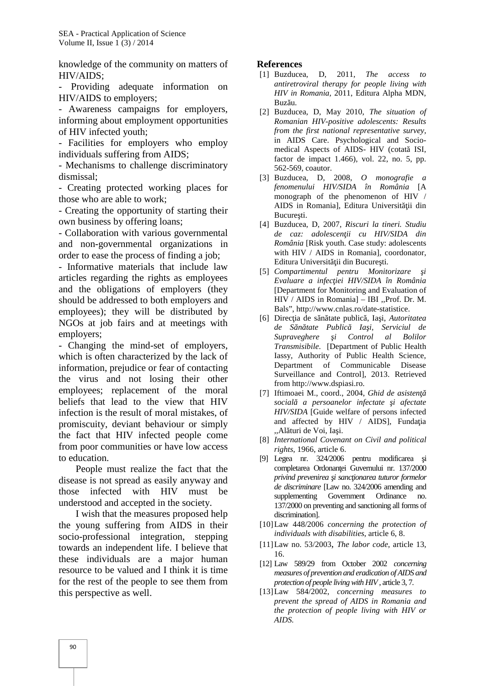knowledge of the community on matters of HIV/AIDS;

- Providing adequate information on HIV/AIDS to employers;

- Awareness campaigns for employers, informing about employment opportunities of HIV infected youth;

- Facilities for employers who employ individuals suffering from AIDS;

- Mechanisms to challenge discriminatory dismissal;

- Creating protected working places for those who are able to work;

- Creating the opportunity of starting their own business by offering loans;

- Collaboration with various governmental and non-governmental organizations in order to ease the process of finding a job;

- Informative materials that include law articles regarding the rights as employees and the obligations of employers (they should be addressed to both employers and employees); they will be distributed by NGOs at job fairs and at meetings with employers;

- Changing the mind-set of employers, which is often characterized by the lack of information, prejudice or fear of contacting the virus and not losing their other employees; replacement of the moral beliefs that lead to the view that HIV infection is the result of moral mistakes, of promiscuity, deviant behaviour or simply the fact that HIV infected people come from poor communities or have low access to education.

People must realize the fact that the disease is not spread as easily anyway and those infected with HIV must be understood and accepted in the society.

I wish that the measures proposed help the young suffering from AIDS in their socio-professional integration, stepping towards an independent life. I believe that these individuals are a major human resource to be valued and I think it is time for the rest of the people to see them from this perspective as well.

#### **References**

- [1] Buzducea, D, 2011, *The access to antiretroviral therapy for people living with HIV in Romania,* 2011, Editura Alpha MDN, Buz u.
- [2] Buzducea, D, May 2010, *The situation of Romanian HIV-positive adolescents: Results from the first national representative survey,* in AIDS Care. Psychological and Socio medical Aspects of AIDS- HIV (cotat ISI, factor de impact 1.466), vol. 22, no. 5, pp. 562-569, coautor.
- [3] Buzducea, D, 2008, *O monografie a fenomenului HIV/SIDA în România* [A monograph of the phenomenon of HIV / AIDS in Romania], Editura Universit ii din Bucure ti.
- [4] Buzducea, D, 2007, *Riscuri la tineri. Studiu de caz: adolescenţii cu HIV/SIDA din România* [Risk youth. Case study: adolescents with HIV / AIDS in Romania], coordonator, Editura Universit ii din Bucure ti.
- [5] *Compartimentul pentru Monitorizare Evaluare a infecţiei HIV/SIDA în România* [Department for Monitoring and Evaluation of HIV / AIDS in Romania] – IBI ,,Prof. Dr. M. Bals", http://www.cnlas.ro/date-statistice.
- [6] Direc ia de s n tate public, Ia i, *Autoritatea de Sănătate Publică Iaşi, Serviciul de Supraveghere i Control al Bolilor Transmisibile*. [Department of Public Health Iassy, Authority of Public Health Science, Department of Communicable Disease Surveillance and Control], 2013. Retrieved from http://www.dspiasi.ro.
- [7] Iftimoaei M., coord., 2004, *Ghid de asisten social a persoanelor infectate i afectate HIV/SIDA* [Guide welfare of persons infected and affected by HIV / AIDS], Funda ia "Al turi de Voi, Ia i.
- [8] *International Covenant on Civil and political rights*, 1966, article 6.
- [9] Legea nr. 324/2006 pentru modificarea i completarea Ordonan ei Guvernului nr. 137/2000 *privind prevenirea i sanc ionarea tuturor formelor de discriminare* [Law no. 324/2006 amending and supplementing Government Ordinance no. 137/2000 on preventing and sanctioning all forms of discrimination].
- [10]Law 448/2006 *concerning the protection of individuals with disabilities*, article 6, 8.
- [11]Law no. 53/2003, *The labor code*, article 13, 16.
- [12] Law 589/29 from October 2002 *concerning measures of prevention and eradication of AIDS and protection of people living with HIV*, article 3, 7.
- [13]Law 584/2002, *concerning measures to prevent the spread of AIDS in Romania and the protection of people living with HIV or AIDS.*